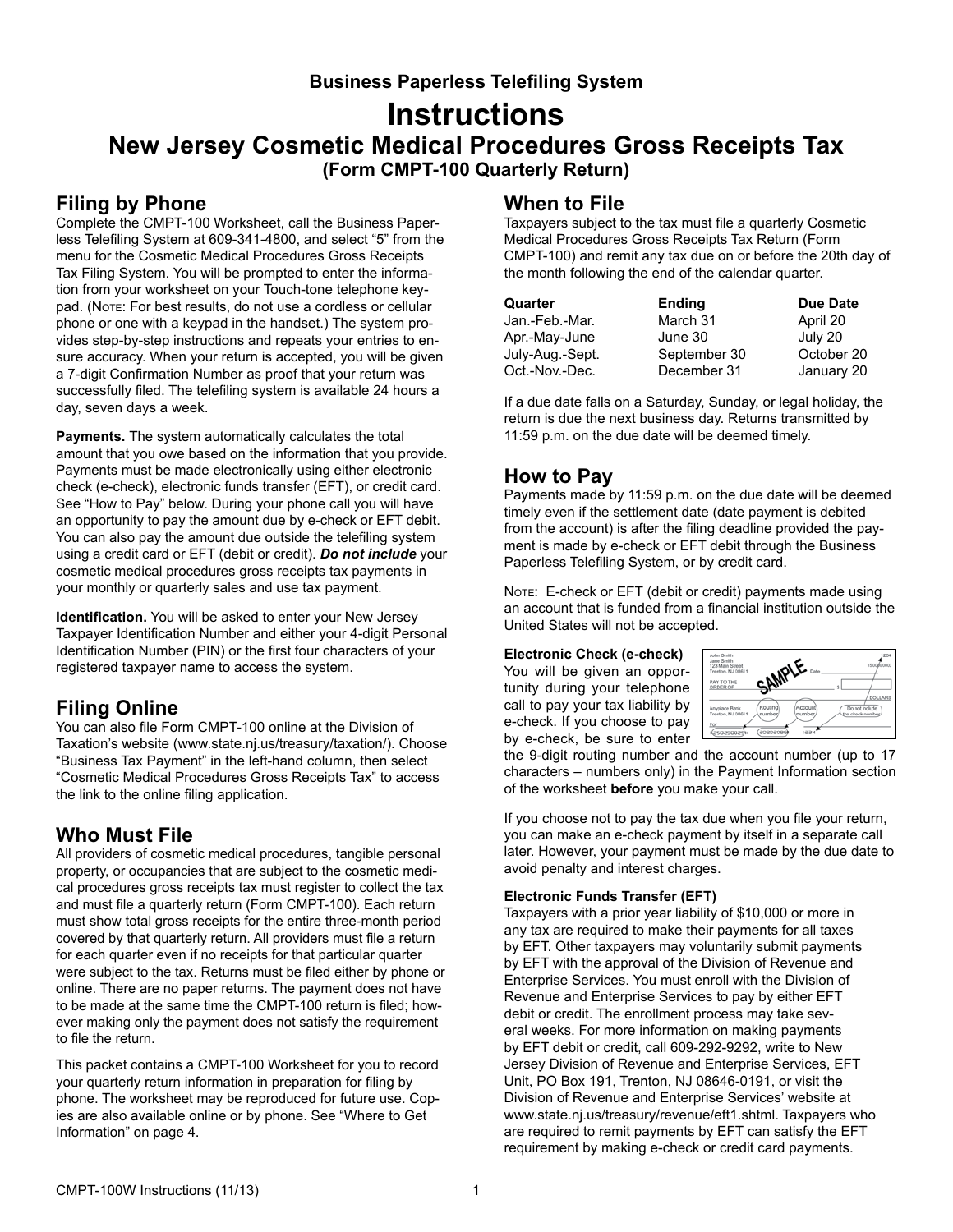**Business Paperless Telefiling System**

# **Instructions**

# **New Jersey Cosmetic Medical Procedures Gross Receipts Tax (Form CMPT-100 Quarterly Return)**

# **Filing by Phone**

Complete the CMPT-100 Worksheet, call the Business Paperless Telefiling System at 609-341-4800, and select "5" from the menu for the Cosmetic Medical Procedures Gross Receipts Tax Filing System. You will be prompted to enter the information from your worksheet on your Touch-tone telephone keypad. (Note: For best results, do not use a cordless or cellular phone or one with a keypad in the handset.) The system provides step-by-step instructions and repeats your entries to ensure accuracy. When your return is accepted, you will be given a 7‑digit Confirmation Number as proof that your return was successfully filed. The telefiling system is available 24 hours a day, seven days a week.

**Payments.** The system automatically calculates the total amount that you owe based on the information that you provide. Payments must be made electronically using either electronic check (e-check), electronic funds transfer (EFT), or credit card. See "How to Pay" below. During your phone call you will have an opportunity to pay the amount due by e-check or EFT debit. You can also pay the amount due outside the telefiling system using a credit card or EFT (debit or credit). *Do not include* your cosmetic medical procedures gross receipts tax payments in your monthly or quarterly sales and use tax payment.

**Identification.** You will be asked to enter your New Jersey Taxpayer Identification Number and either your 4-digit Personal Identification Number (PIN) or the first four characters of your registered taxpayer name to access the system.

# **Filing Online**

You can also file Form CMPT-100 online at the Division of Taxation's website (www.state.nj.us/treasury/taxation/). Choose "Business Tax Payment" in the left-hand column, then select "Cosmetic Medical Procedures Gross Receipts Tax" to access the link to the online filing application.

# **Who Must File**

All providers of cosmetic medical procedures, tangible personal property, or occupancies that are subject to the cosmetic medical procedures gross receipts tax must register to collect the tax and must file a quarterly return (Form CMPT-100). Each return must show total gross receipts for the entire three-month period covered by that quarterly return. All providers must file a return for each quarter even if no receipts for that particular quarter were subject to the tax. Returns must be filed either by phone or online. There are no paper returns. The payment does not have to be made at the same time the CMPT-100 return is filed; however making only the payment does not satisfy the requirement to file the return.

This packet contains a CMPT-100 Worksheet for you to record your quarterly return information in preparation for filing by phone. The worksheet may be reproduced for future use. Copies are also available online or by phone. See "Where to Get Information" on page 4.

### **When to File**

Taxpayers subject to the tax must file a quarterly Cosmetic Medical Procedures Gross Receipts Tax Return (Form CMPT‑100) and remit any tax due on or before the 20th day of the month following the end of the calendar quarter.

| Quarter         | <b>Ending</b> | Due Date   |
|-----------------|---------------|------------|
| Jan.-Feb.-Mar.  | March 31      | April 20   |
| Apr.-May-June   | June 30       | July 20    |
| July-Aug.-Sept. | September 30  | October 20 |
| Oct.-Nov.-Dec.  | December 31   | January 20 |

If a due date falls on a Saturday, Sunday, or legal holiday, the return is due the next business day. Returns transmitted by 11:59 p.m. on the due date will be deemed timely.

# **How to Pay**

Payments made by 11:59 p.m. on the due date will be deemed timely even if the settlement date (date payment is debited from the account) is after the filing deadline provided the payment is made by e-check or EFT debit through the Business Paperless Telefiling System, or by credit card.

NOTE: E-check or EFT (debit or credit) payments made using an account that is funded from a financial institution outside the United States will not be accepted.

## **Electronic Check (e-check)**

You will be given an opportunity during your telephone call to pay your tax liability by e‑check. If you choose to pay by e‑check, be sure to enter

| John Smith<br>Jane Smith<br>123 Main Street |                   |                    | 1234<br>0/000                       |
|---------------------------------------------|-------------------|--------------------|-------------------------------------|
| Trenton, NJ 08611                           |                   | Date               |                                     |
| PAY TO THE                                  |                   |                    |                                     |
| <b>ORDER OF</b>                             |                   |                    |                                     |
|                                             |                   |                    | DOLLARS                             |
| Anyplace Bank<br>Trenton, NJ 08611          | Routing<br>number | Account<br>number. | Do not include<br>the check number. |
|                                             |                   |                    |                                     |
|                                             |                   |                    |                                     |

the 9-digit routing number and the account number (up to 17 characters – numbers only) in the Payment Information section of the worksheet **before** you make your call.

If you choose not to pay the tax due when you file your return, you can make an e-check payment by itself in a separate call later. However, your payment must be made by the due date to avoid penalty and interest charges.

### **Electronic Funds Transfer (EFT)**

Taxpayers with a prior year liability of \$10,000 or more in any tax are required to make their payments for all taxes by EFT. Other taxpayers may voluntarily submit payments by EFT with the approval of the Division of Revenue and Enterprise Services. You must enroll with the Division of Revenue and Enterprise Services to pay by either EFT debit or credit. The enrollment process may take several weeks. For more information on making payments by EFT debit or credit, call 609-292-9292, write to New Jersey Division of Revenue and Enterprise Services, EFT Unit, PO Box 191, Trenton, NJ 08646-0191, or visit the Division of Revenue and Enterprise Services' website at www.state.nj.us/treasury/revenue/eft1.shtml. Taxpayers who are required to remit payments by EFT can satisfy the EFT requirement by making e-check or credit card payments.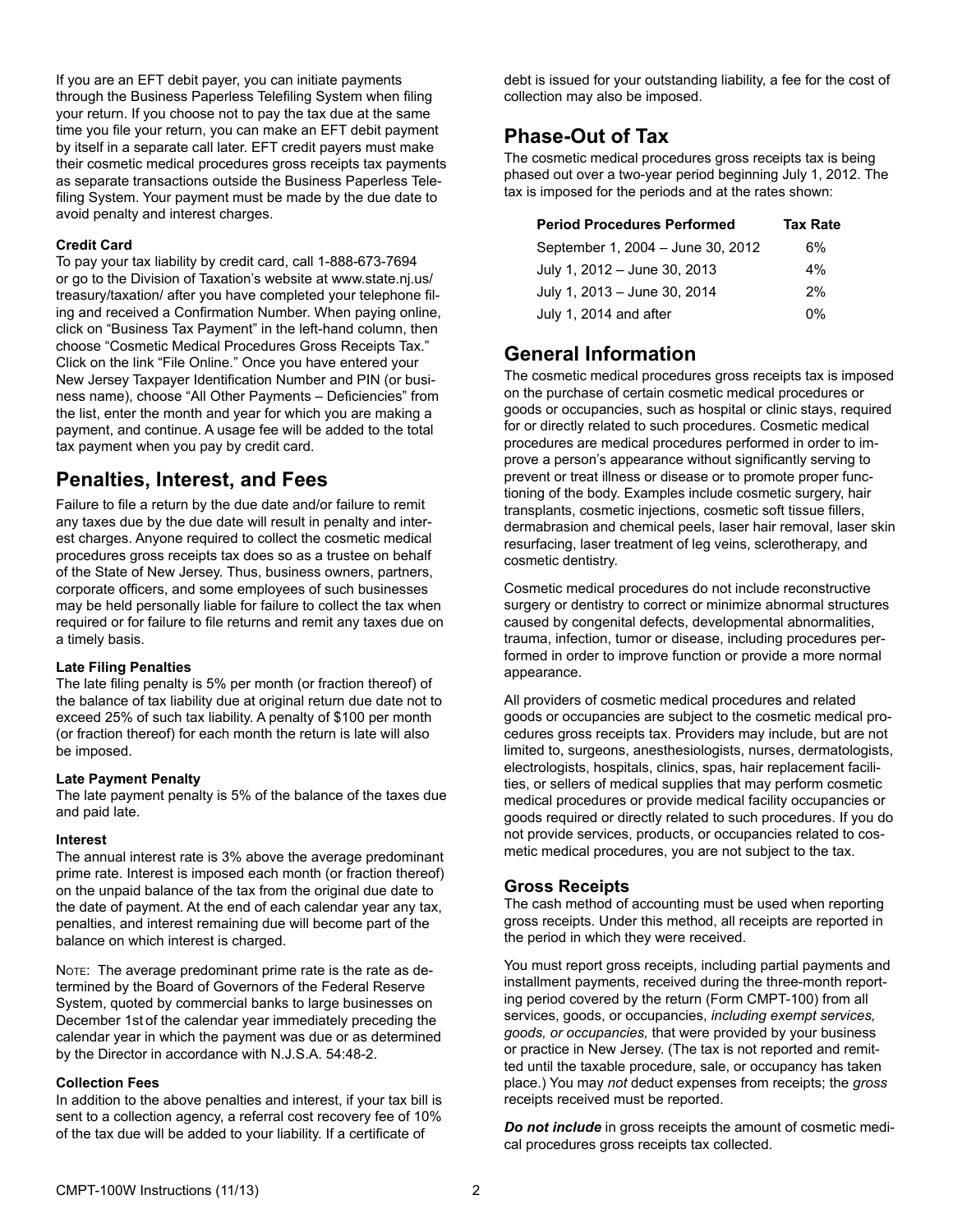If you are an EFT debit payer, you can initiate payments through the Business Paperless Telefiling System when filing your return. If you choose not to pay the tax due at the same time you file your return, you can make an EFT debit payment by itself in a separate call later. EFT credit payers must make their cosmetic medical procedures gross receipts tax payments as separate transactions outside the Business Paperless Telefiling System. Your payment must be made by the due date to avoid penalty and interest charges.

#### **Credit Card**

To pay your tax liability by credit card, call 1-888-673-7694 or go to the Division of Taxation's website at www.state.nj.us/ treasury/taxation/ after you have completed your telephone filing and received a Confirmation Number. When paying online, click on "Business Tax Payment" in the left-hand column, then choose "Cosmetic Medical Procedures Gross Receipts Tax." Click on the link "File Online." Once you have entered your New Jersey Taxpayer Identification Number and PIN (or business name), choose "All Other Payments – Deficiencies" from the list, enter the month and year for which you are making a payment, and continue. A usage fee will be added to the total tax payment when you pay by credit card.

### **Penalties, Interest, and Fees**

Failure to file a return by the due date and/or failure to remit any taxes due by the due date will result in penalty and interest charges. Anyone required to collect the cosmetic medical procedures gross receipts tax does so as a trustee on behalf of the State of New Jersey. Thus, business owners, partners, corporate officers, and some employees of such businesses may be held personally liable for failure to collect the tax when required or for failure to file returns and remit any taxes due on a timely basis.

#### **Late Filing Penalties**

The late filing penalty is 5% per month (or fraction thereof) of the balance of tax liability due at original return due date not to exceed 25% of such tax liability. A penalty of \$100 per month (or fraction thereof) for each month the return is late will also be imposed.

#### **Late Payment Penalty**

The late payment penalty is 5% of the balance of the taxes due and paid late.

#### **Interest**

The annual interest rate is 3% above the average predominant prime rate. Interest is imposed each month (or fraction thereof) on the unpaid balance of the tax from the original due date to the date of payment. At the end of each calendar year any tax, penalties, and interest remaining due will become part of the balance on which interest is charged.

NOTE: The average predominant prime rate is the rate as determined by the Board of Governors of the Federal Reserve System, quoted by commercial banks to large businesses on December 1st of the calendar year immediately preceding the calendar year in which the payment was due or as determined by the Director in accordance with N.J.S.A. 54:48-2.

#### **Collection Fees**

In addition to the above penalties and interest, if your tax bill is sent to a collection agency, a referral cost recovery fee of 10% of the tax due will be added to your liability. If a certificate of

debt is issued for your outstanding liability, a fee for the cost of collection may also be imposed.

### **Phase-Out of Tax**

The cosmetic medical procedures gross receipts tax is being phased out over a two-year period beginning July 1, 2012. The tax is imposed for the periods and at the rates shown:

| <b>Period Procedures Performed</b> | <b>Tax Rate</b> |
|------------------------------------|-----------------|
| September 1, 2004 - June 30, 2012  | 6%              |
| July 1, 2012 - June 30, 2013       | 4%              |
| July 1, 2013 - June 30, 2014       | 2%              |
| July 1, 2014 and after             | $0\%$           |

### **General Information**

The cosmetic medical procedures gross receipts tax is imposed on the purchase of certain cosmetic medical procedures or goods or occupancies, such as hospital or clinic stays, required for or directly related to such procedures. Cosmetic medical procedures are medical procedures performed in order to improve a person's appearance without significantly serving to prevent or treat illness or disease or to promote proper functioning of the body. Examples include cosmetic surgery, hair transplants, cosmetic injections, cosmetic soft tissue fillers, dermabrasion and chemical peels, laser hair removal, laser skin resurfacing, laser treatment of leg veins, sclerotherapy, and cosmetic dentistry.

Cosmetic medical procedures do not include reconstructive surgery or dentistry to correct or minimize abnormal structures caused by congenital defects, developmental abnormalities, trauma, infection, tumor or disease, including procedures performed in order to improve function or provide a more normal appearance.

All providers of cosmetic medical procedures and related goods or occupancies are subject to the cosmetic medical procedures gross receipts tax. Providers may include, but are not limited to, surgeons, anesthesiologists, nurses, dermatologists, electrologists, hospitals, clinics, spas, hair replacement facilities, or sellers of medical supplies that may perform cosmetic medical procedures or provide medical facility occupancies or goods required or directly related to such procedures. If you do not provide services, products, or occupancies related to cosmetic medical procedures, you are not subject to the tax.

#### **Gross Receipts**

The cash method of accounting must be used when reporting gross receipts. Under this method, all receipts are reported in the period in which they were received.

You must report gross receipts, including partial payments and installment payments, received during the three-month reporting period covered by the return (Form CMPT-100) from all services, goods, or occupancies, *including exempt services, goods, or occupancies,* that were provided by your business or practice in New Jersey. (The tax is not reported and remitted until the taxable procedure, sale, or occupancy has taken place.) You may *not* deduct expenses from receipts; the *gross*  receipts received must be reported.

*Do not include* in gross receipts the amount of cosmetic medical procedures gross receipts tax collected.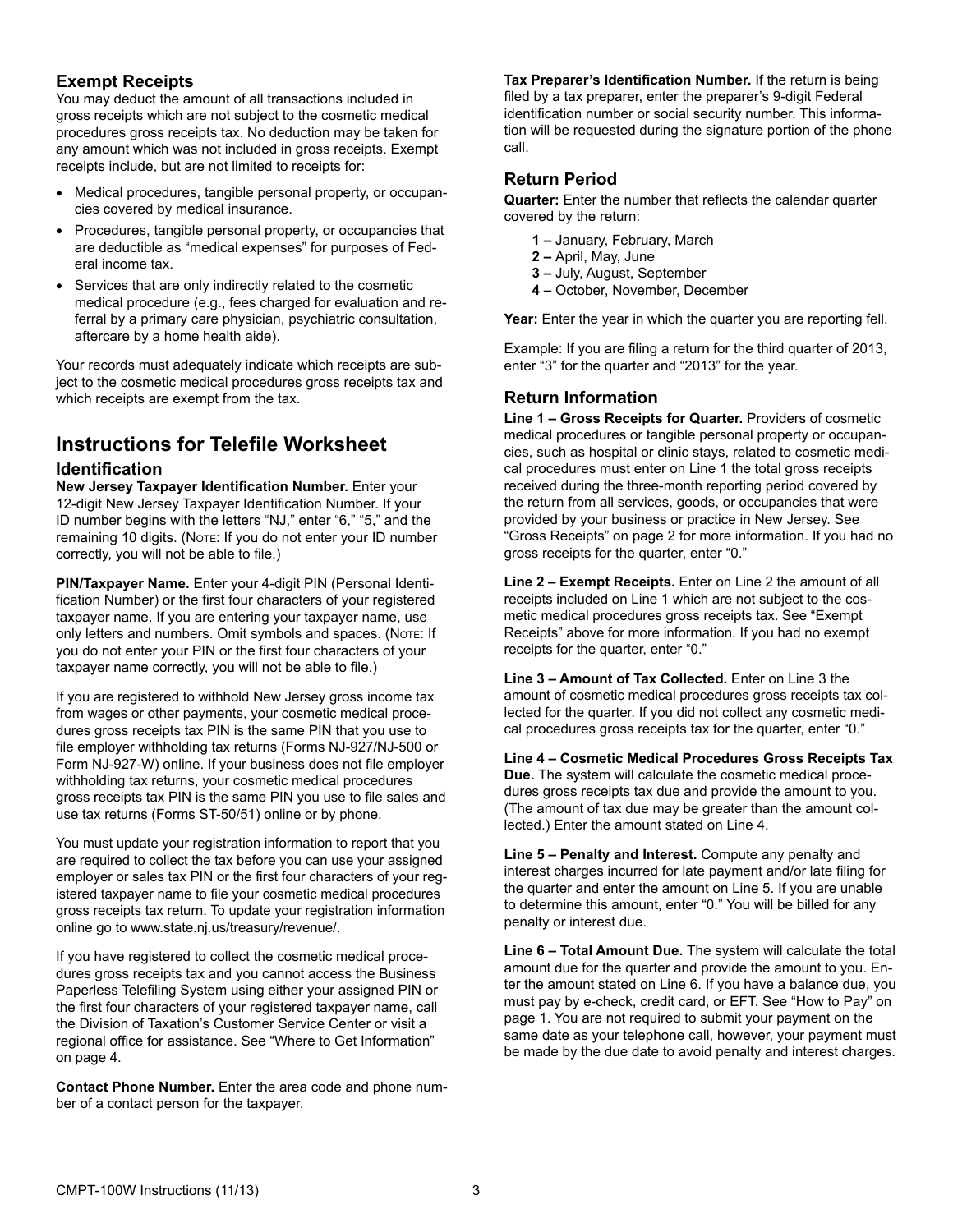### **Exempt Receipts**

You may deduct the amount of all transactions included in gross receipts which are not subject to the cosmetic medical procedures gross receipts tax. No deduction may be taken for any amount which was not included in gross receipts. Exempt receipts include, but are not limited to receipts for:

- Medical procedures, tangible personal property, or occupancies covered by medical insurance.
- Procedures, tangible personal property, or occupancies that are deductible as "medical expenses" for purposes of Federal income tax.
- Services that are only indirectly related to the cosmetic medical procedure (e.g., fees charged for evaluation and referral by a primary care physician, psychiatric consultation, aftercare by a home health aide).

Your records must adequately indicate which receipts are subject to the cosmetic medical procedures gross receipts tax and which receipts are exempt from the tax.

# **Instructions for Telefile Worksheet**

### **Identification**

**New Jersey Taxpayer Identification Number.** Enter your 12-digit New Jersey Taxpayer Identification Number. If your ID number begins with the letters "NJ," enter "6," "5," and the remaining 10 digits. (Note: If you do not enter your ID number correctly, you will not be able to file.)

**PIN/Taxpayer Name.** Enter your 4-digit PIN (Personal Identification Number) or the first four characters of your registered taxpayer name. If you are entering your taxpayer name, use only letters and numbers. Omit symbols and spaces. (Note: If you do not enter your PIN or the first four characters of your taxpayer name correctly, you will not be able to file.)

If you are registered to withhold New Jersey gross income tax from wages or other payments, your cosmetic medical procedures gross receipts tax PIN is the same PIN that you use to file employer withholding tax returns (Forms NJ-927/NJ-500 or Form NJ-927-W) online. If your business does not file employer withholding tax returns, your cosmetic medical procedures gross receipts tax PIN is the same PIN you use to file sales and use tax returns (Forms ST-50/51) online or by phone.

You must update your registration information to report that you are required to collect the tax before you can use your assigned employer or sales tax PIN or the first four characters of your registered taxpayer name to file your cosmetic medical procedures gross receipts tax return. To update your registration information online go to www.state.nj.us/treasury/revenue/.

If you have registered to collect the cosmetic medical procedures gross receipts tax and you cannot access the Business Paperless Telefiling System using either your assigned PIN or the first four characters of your registered taxpayer name, call the Division of Taxation's Customer Service Center or visit a regional office for assistance. See "Where to Get Information" on page 4.

**Contact Phone Number.** Enter the area code and phone number of a contact person for the taxpayer.

**Tax Preparer's Identification Number.** If the return is being filed by a tax preparer, enter the preparer's 9-digit Federal identification number or social security number. This information will be requested during the signature portion of the phone call.

### **Return Period**

**Quarter:** Enter the number that reflects the calendar quarter covered by the return:

- **1** January, February, March
- **2** April, May, June
- **3** July, August, September
- **4** October, November, December

**Year:** Enter the year in which the quarter you are reporting fell.

Example: If you are filing a return for the third quarter of 2013, enter "3" for the quarter and "2013" for the year.

### **Return Information**

**Line 1 – Gross Receipts for Quarter.** Providers of cosmetic medical procedures or tangible personal property or occupancies, such as hospital or clinic stays, related to cosmetic medical procedures must enter on Line 1 the total gross receipts received during the three-month reporting period covered by the return from all services, goods, or occupancies that were provided by your business or practice in New Jersey. See "Gross Receipts" on page 2 for more information. If you had no gross receipts for the quarter, enter "0."

**Line 2 – Exempt Receipts.** Enter on Line 2 the amount of all receipts included on Line 1 which are not subject to the cosmetic medical procedures gross receipts tax. See "Exempt Receipts" above for more information. If you had no exempt receipts for the quarter, enter "0."

**Line 3 – Amount of Tax Collected.** Enter on Line 3 the amount of cosmetic medical procedures gross receipts tax collected for the quarter. If you did not collect any cosmetic medical procedures gross receipts tax for the quarter, enter "0."

**Line 4 – Cosmetic Medical Procedures Gross Receipts Tax Due.** The system will calculate the cosmetic medical procedures gross receipts tax due and provide the amount to you. (The amount of tax due may be greater than the amount collected.) Enter the amount stated on Line 4.

**Line 5 – Penalty and Interest.** Compute any penalty and interest charges incurred for late payment and/or late filing for the quarter and enter the amount on Line 5. If you are unable to determine this amount, enter "0." You will be billed for any penalty or interest due.

**Line 6 – Total Amount Due.** The system will calculate the total amount due for the quarter and provide the amount to you. Enter the amount stated on Line 6. If you have a balance due, you must pay by e-check, credit card, or EFT. See "How to Pay" on page 1. You are not required to submit your payment on the same date as your telephone call, however, your payment must be made by the due date to avoid penalty and interest charges.